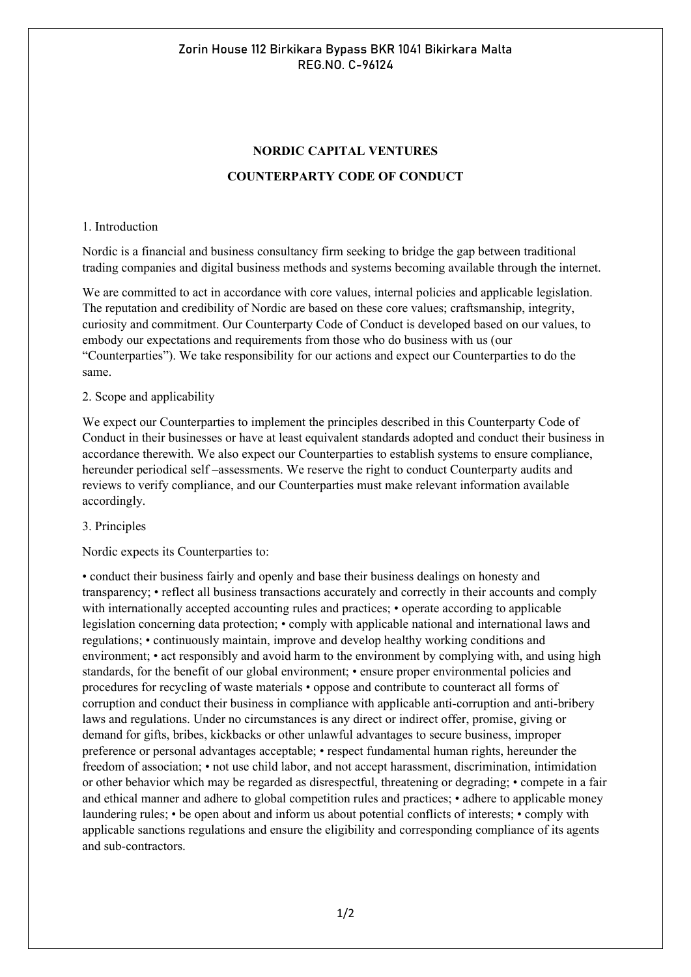# **NORDIC CAPITAL VENTURES COUNTERPARTY CODE OF CONDUCT**

#### 1. Introduction

Nordic is a financial and business consultancy firm seeking to bridge the gap between traditional trading companies and digital business methods and systems becoming available through the internet.

We are committed to act in accordance with core values, internal policies and applicable legislation. The reputation and credibility of Nordic are based on these core values; craftsmanship, integrity, curiosity and commitment. Our Counterparty Code of Conduct is developed based on our values, to embody our expectations and requirements from those who do business with us (our "Counterparties"). We take responsibility for our actions and expect our Counterparties to do the same.

### 2. Scope and applicability

We expect our Counterparties to implement the principles described in this Counterparty Code of Conduct in their businesses or have at least equivalent standards adopted and conduct their business in accordance therewith. We also expect our Counterparties to establish systems to ensure compliance, hereunder periodical self-assessments. We reserve the right to conduct Counterparty audits and reviews to verify compliance, and our Counterparties must make relevant information available accordingly.

#### 3. Principles

Nordic expects its Counterparties to:

• conduct their business fairly and openly and base their business dealings on honesty and transparency; • reflect all business transactions accurately and correctly in their accounts and comply with internationally accepted accounting rules and practices; • operate according to applicable legislation concerning data protection; • comply with applicable national and international laws and regulations; • continuously maintain, improve and develop healthy working conditions and environment; • act responsibly and avoid harm to the environment by complying with, and using high standards, for the benefit of our global environment; • ensure proper environmental policies and procedures for recycling of waste materials • oppose and contribute to counteract all forms of corruption and conduct their business in compliance with applicable anti-corruption and anti-bribery laws and regulations. Under no circumstances is any direct or indirect offer, promise, giving or demand for gifts, bribes, kickbacks or other unlawful advantages to secure business, improper preference or personal advantages acceptable; • respect fundamental human rights, hereunder the freedom of association; • not use child labor, and not accept harassment, discrimination, intimidation or other behavior which may be regarded as disrespectful, threatening or degrading; • compete in a fair and ethical manner and adhere to global competition rules and practices; • adhere to applicable money laundering rules; • be open about and inform us about potential conflicts of interests; • comply with applicable sanctions regulations and ensure the eligibility and corresponding compliance of its agents and sub-contractors.